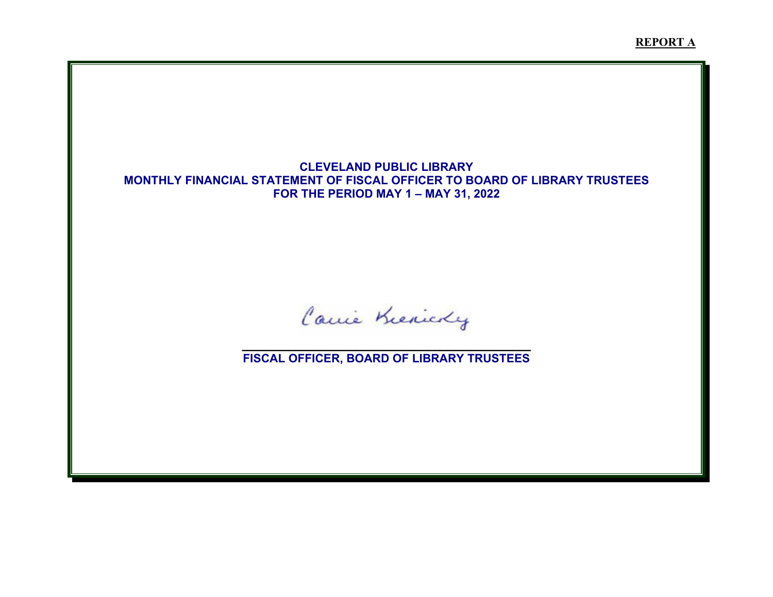**REPORT A**

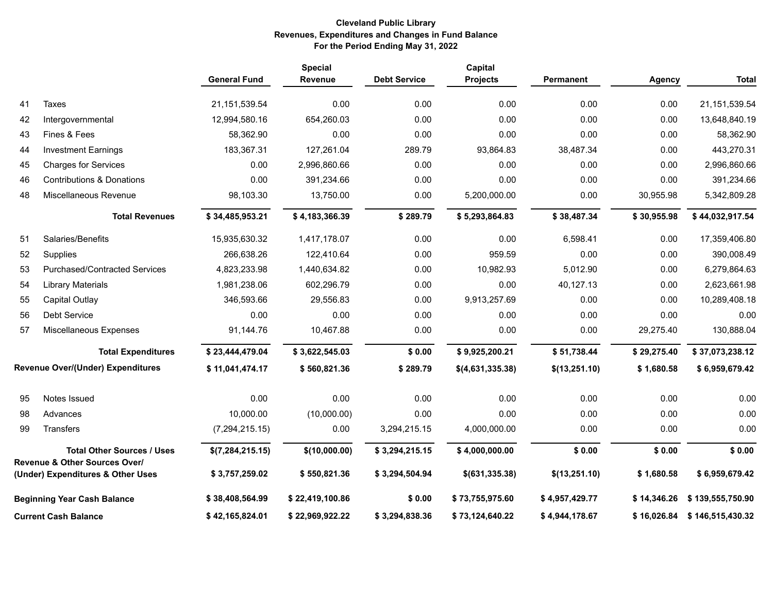# **Cleveland Public Library Revenues, Expenditures and Changes in Fund Balance For the Period Ending May 31, 2022**

|    |                                                                               | <b>General Fund</b> | <b>Special</b><br>Revenue | <b>Debt Service</b> | Capital<br>Projects | Permanent      | <b>Agency</b> | <b>Total</b>     |
|----|-------------------------------------------------------------------------------|---------------------|---------------------------|---------------------|---------------------|----------------|---------------|------------------|
| 41 | Taxes                                                                         | 21, 151, 539.54     | 0.00                      | 0.00                | 0.00                | 0.00           | 0.00          | 21,151,539.54    |
| 42 | Intergovernmental                                                             | 12,994,580.16       | 654,260.03                | 0.00                | 0.00                | 0.00           | 0.00          | 13,648,840.19    |
| 43 | Fines & Fees                                                                  | 58,362.90           | 0.00                      | 0.00                | 0.00                | 0.00           | 0.00          | 58,362.90        |
| 44 | <b>Investment Earnings</b>                                                    | 183,367.31          | 127,261.04                | 289.79              | 93,864.83           | 38,487.34      | 0.00          | 443,270.31       |
| 45 | <b>Charges for Services</b>                                                   | 0.00                | 2,996,860.66              | 0.00                | 0.00                | 0.00           | 0.00          | 2,996,860.66     |
| 46 | <b>Contributions &amp; Donations</b>                                          | 0.00                | 391,234.66                | 0.00                | 0.00                | 0.00           | 0.00          | 391,234.66       |
| 48 | Miscellaneous Revenue                                                         | 98,103.30           | 13,750.00                 | 0.00                | 5,200,000.00        | 0.00           | 30,955.98     | 5,342,809.28     |
|    | <b>Total Revenues</b>                                                         | \$34,485,953.21     | \$4,183,366.39            | \$289.79            | \$5,293,864.83      | \$38,487.34    | \$30,955.98   | \$44,032,917.54  |
| 51 | Salaries/Benefits                                                             | 15,935,630.32       | 1,417,178.07              | 0.00                | 0.00                | 6,598.41       | 0.00          | 17,359,406.80    |
| 52 | Supplies                                                                      | 266,638.26          | 122,410.64                | 0.00                | 959.59              | 0.00           | 0.00          | 390,008.49       |
| 53 | <b>Purchased/Contracted Services</b>                                          | 4,823,233.98        | 1,440,634.82              | 0.00                | 10,982.93           | 5,012.90       | 0.00          | 6,279,864.63     |
| 54 | <b>Library Materials</b>                                                      | 1,981,238.06        | 602,296.79                | 0.00                | 0.00                | 40,127.13      | 0.00          | 2,623,661.98     |
| 55 | Capital Outlay                                                                | 346,593.66          | 29,556.83                 | 0.00                | 9,913,257.69        | 0.00           | 0.00          | 10,289,408.18    |
| 56 | Debt Service                                                                  | 0.00                | 0.00                      | 0.00                | 0.00                | 0.00           | 0.00          | 0.00             |
| 57 | Miscellaneous Expenses                                                        | 91,144.76           | 10,467.88                 | 0.00                | 0.00                | 0.00           | 29,275.40     | 130,888.04       |
|    | <b>Total Expenditures</b>                                                     | \$23,444,479.04     | \$3,622,545.03            | \$0.00              | \$9,925,200.21      | \$51,738.44    | \$29,275.40   | \$37,073,238.12  |
|    | <b>Revenue Over/(Under) Expenditures</b>                                      | \$11,041,474.17     | \$560,821.36              | \$289.79            | \$(4,631,335.38)    | \$(13,251.10)  | \$1,680.58    | \$6,959,679.42   |
| 95 | Notes Issued                                                                  | 0.00                | 0.00                      | 0.00                | 0.00                | 0.00           | 0.00          | 0.00             |
| 98 | Advances                                                                      | 10,000.00           | (10,000.00)               | 0.00                | 0.00                | 0.00           | 0.00          | 0.00             |
| 99 | Transfers                                                                     | (7, 294, 215.15)    | 0.00                      | 3,294,215.15        | 4,000,000.00        | 0.00           | 0.00          | 0.00             |
|    | <b>Total Other Sources / Uses</b><br><b>Revenue &amp; Other Sources Over/</b> | \$(7,284,215.15)    | \$(10,000.00)             | \$3,294,215.15      | \$4,000,000.00      | \$0.00         | \$0.00        | \$0.00           |
|    | (Under) Expenditures & Other Uses                                             | \$3,757,259.02      | \$550,821.36              | \$3,294,504.94      | $$$ (631,335.38)    | \$(13,251.10)  | \$1,680.58    | \$6,959,679.42   |
|    | <b>Beginning Year Cash Balance</b>                                            | \$38,408,564.99     | \$22,419,100.86           | \$0.00              | \$73,755,975.60     | \$4,957,429.77 | \$14,346.26   | \$139,555,750.90 |
|    | <b>Current Cash Balance</b>                                                   | \$42,165,824.01     | \$22,969,922.22           | \$3,294,838.36      | \$73,124,640.22     | \$4,944,178.67 | \$16,026.84   | \$146,515,430.32 |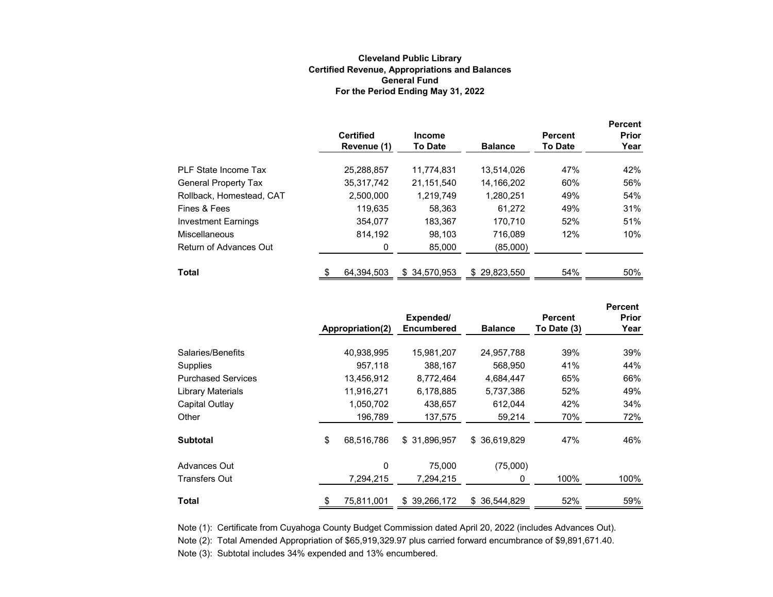#### **Cleveland Public Library Certified Revenue, Appropriations and Balances For the Period Ending May 31, 2022 General Fund**

|                             | <b>Certified</b><br>Revenue (1) | <b>Income</b><br><b>To Date</b> | <b>Balance</b>    | <b>Percent</b><br><b>To Date</b> | <b>Percent</b><br><b>Prior</b><br>Year |
|-----------------------------|---------------------------------|---------------------------------|-------------------|----------------------------------|----------------------------------------|
| PLF State Income Tax        | 25,288,857                      | 11.774.831                      | 13.514.026        | 47%                              | 42%                                    |
| <b>General Property Tax</b> | 35.317.742                      | 21.151.540                      | 14.166.202        | 60%                              | 56%                                    |
| Rollback, Homestead, CAT    | 2,500,000                       | 1.219.749                       | 1,280,251         | 49%                              | 54%                                    |
| Fines & Fees                | 119.635                         | 58,363                          | 61.272            | 49%                              | 31%                                    |
| <b>Investment Earnings</b>  | 354.077                         | 183.367                         | 170.710           | 52%                              | 51%                                    |
| <b>Miscellaneous</b>        | 814.192                         | 98,103                          | 716.089           | 12%                              | 10%                                    |
| Return of Advances Out      | 0                               | 85.000                          | (85,000)          |                                  |                                        |
| <b>Total</b>                | 64,394,503                      | \$34.570.953                    | 29,823,550<br>\$. | 54%                              | 50%                                    |

|                           |                  |                                |                  |                               | <b>Percent</b> |
|---------------------------|------------------|--------------------------------|------------------|-------------------------------|----------------|
|                           | Appropriation(2) | Expended/<br><b>Encumbered</b> | <b>Balance</b>   | <b>Percent</b><br>To Date (3) | Prior<br>Year  |
| Salaries/Benefits         | 40,938,995       | 15,981,207                     | 24,957,788       | 39%                           | 39%            |
| Supplies                  | 957.118          | 388,167                        | 568,950          | 41%                           | 44%            |
| <b>Purchased Services</b> | 13,456,912       | 8,772,464                      | 4,684,447        | 65%                           | 66%            |
| Library Materials         | 11,916,271       | 6,178,885                      | 5,737,386        | 52%                           | 49%            |
| Capital Outlay            | 1,050,702        | 438,657                        | 612,044          | 42%                           | 34%            |
| Other                     | 196,789          | 137,575                        | 59,214           | 70%                           | 72%            |
| <b>Subtotal</b>           | \$<br>68,516,786 | \$31,896,957                   | \$36,619,829     | 47%                           | 46%            |
| Advances Out              | 0                | 75,000                         | (75,000)         |                               |                |
| Transfers Out             | 7,294,215        | 7,294,215                      | 0                | 100%                          | 100%           |
| Total                     | \$<br>75,811,001 | 39,266,172<br>\$               | 36.544.829<br>S. | 52%                           | 59%            |

Note (2): Total Amended Appropriation of \$65,919,329.97 plus carried forward encumbrance of \$9,891,671.40. Note (3): Subtotal includes 34% expended and 13% encumbered. Note (1): Certificate from Cuyahoga County Budget Commission dated April 20, 2022 (includes Advances Out).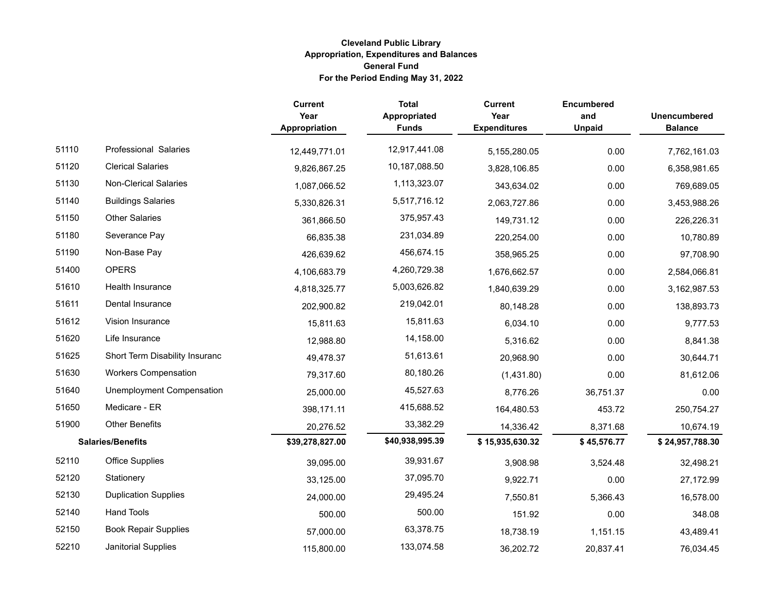|       |                                  | <b>Current</b><br>Year<br>Appropriation | <b>Total</b><br>Appropriated<br><b>Funds</b> | <b>Current</b><br>Year<br><b>Expenditures</b> | <b>Encumbered</b><br>and<br><b>Unpaid</b> | <b>Unencumbered</b><br><b>Balance</b> |
|-------|----------------------------------|-----------------------------------------|----------------------------------------------|-----------------------------------------------|-------------------------------------------|---------------------------------------|
| 51110 | <b>Professional Salaries</b>     | 12,449,771.01                           | 12,917,441.08                                | 5,155,280.05                                  | 0.00                                      | 7,762,161.03                          |
| 51120 | <b>Clerical Salaries</b>         | 9,826,867.25                            | 10,187,088.50                                | 3,828,106.85                                  | 0.00                                      | 6,358,981.65                          |
| 51130 | <b>Non-Clerical Salaries</b>     | 1,087,066.52                            | 1,113,323.07                                 | 343,634.02                                    | 0.00                                      | 769,689.05                            |
| 51140 | <b>Buildings Salaries</b>        | 5,330,826.31                            | 5,517,716.12                                 | 2,063,727.86                                  | 0.00                                      | 3,453,988.26                          |
| 51150 | <b>Other Salaries</b>            | 361,866.50                              | 375,957.43                                   | 149,731.12                                    | 0.00                                      | 226,226.31                            |
| 51180 | Severance Pay                    | 66,835.38                               | 231,034.89                                   | 220,254.00                                    | 0.00                                      | 10,780.89                             |
| 51190 | Non-Base Pay                     | 426,639.62                              | 456,674.15                                   | 358,965.25                                    | 0.00                                      | 97,708.90                             |
| 51400 | <b>OPERS</b>                     | 4,106,683.79                            | 4,260,729.38                                 | 1,676,662.57                                  | 0.00                                      | 2,584,066.81                          |
| 51610 | <b>Health Insurance</b>          | 4,818,325.77                            | 5,003,626.82                                 | 1,840,639.29                                  | 0.00                                      | 3,162,987.53                          |
| 51611 | Dental Insurance                 | 202,900.82                              | 219,042.01                                   | 80,148.28                                     | 0.00                                      | 138,893.73                            |
| 51612 | Vision Insurance                 | 15,811.63                               | 15,811.63                                    | 6,034.10                                      | 0.00                                      | 9,777.53                              |
| 51620 | Life Insurance                   | 12,988.80                               | 14,158.00                                    | 5,316.62                                      | 0.00                                      | 8,841.38                              |
| 51625 | Short Term Disability Insuranc   | 49,478.37                               | 51,613.61                                    | 20,968.90                                     | 0.00                                      | 30,644.71                             |
| 51630 | <b>Workers Compensation</b>      | 79,317.60                               | 80,180.26                                    | (1,431.80)                                    | 0.00                                      | 81,612.06                             |
| 51640 | <b>Unemployment Compensation</b> | 25,000.00                               | 45,527.63                                    | 8,776.26                                      | 36,751.37                                 | 0.00                                  |
| 51650 | Medicare - ER                    | 398,171.11                              | 415,688.52                                   | 164,480.53                                    | 453.72                                    | 250,754.27                            |
| 51900 | <b>Other Benefits</b>            | 20,276.52                               | 33,382.29                                    | 14,336.42                                     | 8,371.68                                  | 10,674.19                             |
|       | <b>Salaries/Benefits</b>         | \$39,278,827.00                         | \$40,938,995.39                              | \$15,935,630.32                               | \$45,576.77                               | \$24,957,788.30                       |
| 52110 | <b>Office Supplies</b>           | 39,095.00                               | 39,931.67                                    | 3,908.98                                      | 3,524.48                                  | 32,498.21                             |
| 52120 | Stationery                       | 33,125.00                               | 37,095.70                                    | 9,922.71                                      | 0.00                                      | 27,172.99                             |
| 52130 | <b>Duplication Supplies</b>      | 24,000.00                               | 29,495.24                                    | 7,550.81                                      | 5,366.43                                  | 16,578.00                             |
| 52140 | <b>Hand Tools</b>                | 500.00                                  | 500.00                                       | 151.92                                        | 0.00                                      | 348.08                                |
| 52150 | <b>Book Repair Supplies</b>      | 57,000.00                               | 63,378.75                                    | 18,738.19                                     | 1,151.15                                  | 43,489.41                             |
| 52210 | Janitorial Supplies              | 115,800.00                              | 133,074.58                                   | 36,202.72                                     | 20,837.41                                 | 76,034.45                             |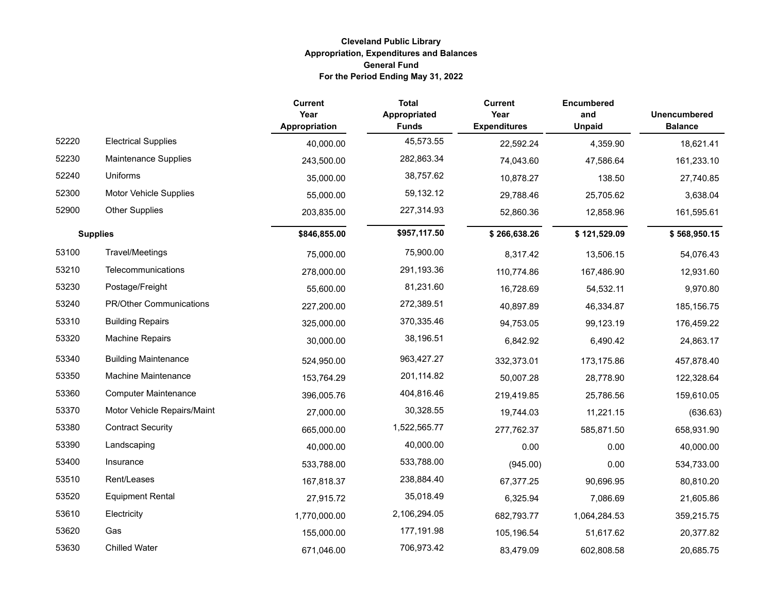|       |                               | <b>Current</b><br>Year<br>Appropriation | <b>Total</b><br>Appropriated<br><b>Funds</b> | <b>Current</b><br>Year<br><b>Expenditures</b> | <b>Encumbered</b><br>and<br><b>Unpaid</b> | <b>Unencumbered</b><br><b>Balance</b> |
|-------|-------------------------------|-----------------------------------------|----------------------------------------------|-----------------------------------------------|-------------------------------------------|---------------------------------------|
| 52220 | <b>Electrical Supplies</b>    | 40,000.00                               | 45,573.55                                    | 22,592.24                                     | 4,359.90                                  | 18,621.41                             |
| 52230 | Maintenance Supplies          | 243,500.00                              | 282,863.34                                   | 74,043.60                                     | 47,586.64                                 | 161,233.10                            |
| 52240 | Uniforms                      | 35,000.00                               | 38,757.62                                    | 10,878.27                                     | 138.50                                    | 27,740.85                             |
| 52300 | <b>Motor Vehicle Supplies</b> | 55,000.00                               | 59,132.12                                    | 29,788.46                                     | 25,705.62                                 | 3,638.04                              |
| 52900 | <b>Other Supplies</b>         | 203,835.00                              | 227,314.93                                   | 52,860.36                                     | 12,858.96                                 | 161,595.61                            |
|       | <b>Supplies</b>               | \$846,855.00                            | \$957,117.50                                 | \$266,638.26                                  | \$121,529.09                              | \$568,950.15                          |
| 53100 | Travel/Meetings               | 75,000.00                               | 75,900.00                                    | 8,317.42                                      | 13,506.15                                 | 54,076.43                             |
| 53210 | Telecommunications            | 278,000.00                              | 291,193.36                                   | 110,774.86                                    | 167,486.90                                | 12,931.60                             |
| 53230 | Postage/Freight               | 55,600.00                               | 81,231.60                                    | 16,728.69                                     | 54,532.11                                 | 9,970.80                              |
| 53240 | PR/Other Communications       | 227,200.00                              | 272,389.51                                   | 40,897.89                                     | 46,334.87                                 | 185, 156.75                           |
| 53310 | <b>Building Repairs</b>       | 325,000.00                              | 370,335.46                                   | 94,753.05                                     | 99,123.19                                 | 176,459.22                            |
| 53320 | <b>Machine Repairs</b>        | 30,000.00                               | 38,196.51                                    | 6,842.92                                      | 6,490.42                                  | 24,863.17                             |
| 53340 | <b>Building Maintenance</b>   | 524,950.00                              | 963,427.27                                   | 332,373.01                                    | 173,175.86                                | 457,878.40                            |
| 53350 | <b>Machine Maintenance</b>    | 153,764.29                              | 201,114.82                                   | 50,007.28                                     | 28,778.90                                 | 122,328.64                            |
| 53360 | <b>Computer Maintenance</b>   | 396,005.76                              | 404,816.46                                   | 219,419.85                                    | 25,786.56                                 | 159,610.05                            |
| 53370 | Motor Vehicle Repairs/Maint   | 27,000.00                               | 30,328.55                                    | 19,744.03                                     | 11,221.15                                 | (636.63)                              |
| 53380 | <b>Contract Security</b>      | 665,000.00                              | 1,522,565.77                                 | 277,762.37                                    | 585,871.50                                | 658,931.90                            |
| 53390 | Landscaping                   | 40,000.00                               | 40,000.00                                    | 0.00                                          | 0.00                                      | 40,000.00                             |
| 53400 | Insurance                     | 533,788.00                              | 533,788.00                                   | (945.00)                                      | 0.00                                      | 534,733.00                            |
| 53510 | Rent/Leases                   | 167,818.37                              | 238,884.40                                   | 67,377.25                                     | 90,696.95                                 | 80,810.20                             |
| 53520 | <b>Equipment Rental</b>       | 27,915.72                               | 35,018.49                                    | 6,325.94                                      | 7,086.69                                  | 21,605.86                             |
| 53610 | Electricity                   | 1,770,000.00                            | 2,106,294.05                                 | 682,793.77                                    | 1,064,284.53                              | 359,215.75                            |
| 53620 | Gas                           | 155,000.00                              | 177,191.98                                   | 105,196.54                                    | 51,617.62                                 | 20,377.82                             |
| 53630 | <b>Chilled Water</b>          | 671,046.00                              | 706,973.42                                   | 83,479.09                                     | 602,808.58                                | 20,685.75                             |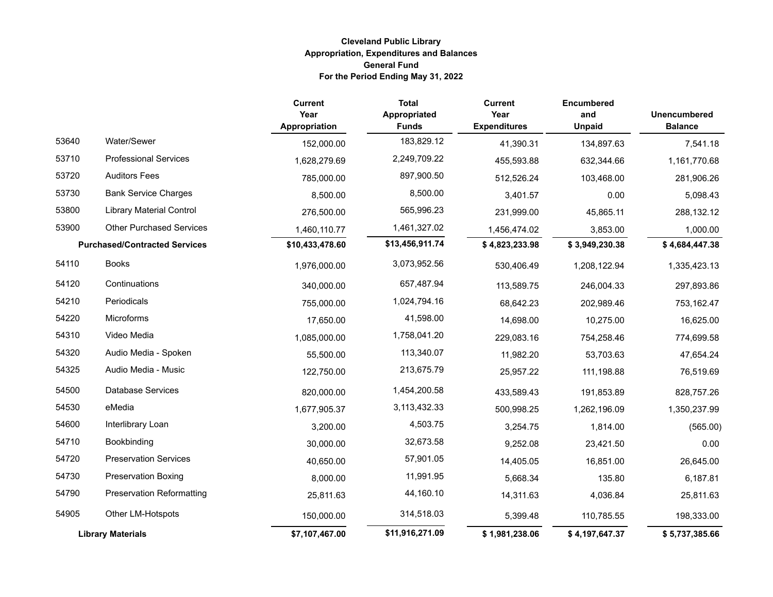|       |                                      | <b>Current</b><br>Year<br>Appropriation | <b>Total</b><br>Appropriated<br><b>Funds</b> | <b>Current</b><br>Year<br><b>Expenditures</b> | <b>Encumbered</b><br>and<br><b>Unpaid</b> | <b>Unencumbered</b><br><b>Balance</b> |
|-------|--------------------------------------|-----------------------------------------|----------------------------------------------|-----------------------------------------------|-------------------------------------------|---------------------------------------|
| 53640 | Water/Sewer                          | 152,000.00                              | 183,829.12                                   | 41,390.31                                     | 134,897.63                                | 7,541.18                              |
| 53710 | <b>Professional Services</b>         | 1,628,279.69                            | 2,249,709.22                                 | 455,593.88                                    | 632,344.66                                | 1,161,770.68                          |
| 53720 | <b>Auditors Fees</b>                 | 785,000.00                              | 897,900.50                                   | 512,526.24                                    | 103,468.00                                | 281,906.26                            |
| 53730 | <b>Bank Service Charges</b>          | 8,500.00                                | 8,500.00                                     | 3,401.57                                      | 0.00                                      | 5,098.43                              |
| 53800 | <b>Library Material Control</b>      | 276,500.00                              | 565,996.23                                   | 231,999.00                                    | 45,865.11                                 | 288,132.12                            |
| 53900 | <b>Other Purchased Services</b>      | 1,460,110.77                            | 1,461,327.02                                 | 1,456,474.02                                  | 3,853.00                                  | 1,000.00                              |
|       | <b>Purchased/Contracted Services</b> | \$10,433,478.60                         | \$13,456,911.74                              | \$4,823,233.98                                | \$3,949,230.38                            | \$4,684,447.38                        |
| 54110 | <b>Books</b>                         | 1,976,000.00                            | 3,073,952.56                                 | 530,406.49                                    | 1,208,122.94                              | 1,335,423.13                          |
| 54120 | Continuations                        | 340,000.00                              | 657,487.94                                   | 113,589.75                                    | 246,004.33                                | 297,893.86                            |
| 54210 | Periodicals                          | 755,000.00                              | 1,024,794.16                                 | 68,642.23                                     | 202,989.46                                | 753,162.47                            |
| 54220 | Microforms                           | 17,650.00                               | 41,598.00                                    | 14,698.00                                     | 10,275.00                                 | 16,625.00                             |
| 54310 | Video Media                          | 1,085,000.00                            | 1,758,041.20                                 | 229,083.16                                    | 754,258.46                                | 774,699.58                            |
| 54320 | Audio Media - Spoken                 | 55,500.00                               | 113,340.07                                   | 11,982.20                                     | 53,703.63                                 | 47,654.24                             |
| 54325 | Audio Media - Music                  | 122,750.00                              | 213,675.79                                   | 25,957.22                                     | 111,198.88                                | 76,519.69                             |
| 54500 | Database Services                    | 820,000.00                              | 1,454,200.58                                 | 433,589.43                                    | 191,853.89                                | 828,757.26                            |
| 54530 | eMedia                               | 1,677,905.37                            | 3,113,432.33                                 | 500,998.25                                    | 1,262,196.09                              | 1,350,237.99                          |
| 54600 | Interlibrary Loan                    | 3,200.00                                | 4,503.75                                     | 3,254.75                                      | 1,814.00                                  | (565.00)                              |
| 54710 | Bookbinding                          | 30,000.00                               | 32,673.58                                    | 9,252.08                                      | 23,421.50                                 | 0.00                                  |
| 54720 | <b>Preservation Services</b>         | 40,650.00                               | 57,901.05                                    | 14,405.05                                     | 16,851.00                                 | 26,645.00                             |
| 54730 | <b>Preservation Boxing</b>           | 8,000.00                                | 11,991.95                                    | 5,668.34                                      | 135.80                                    | 6,187.81                              |
| 54790 | <b>Preservation Reformatting</b>     | 25,811.63                               | 44,160.10                                    | 14,311.63                                     | 4,036.84                                  | 25,811.63                             |
| 54905 | Other LM-Hotspots                    | 150,000.00                              | 314,518.03                                   | 5,399.48                                      | 110,785.55                                | 198,333.00                            |
|       | <b>Library Materials</b>             | \$7,107,467.00                          | \$11,916,271.09                              | \$1,981,238.06                                | \$4,197,647.37                            | \$5,737,385.66                        |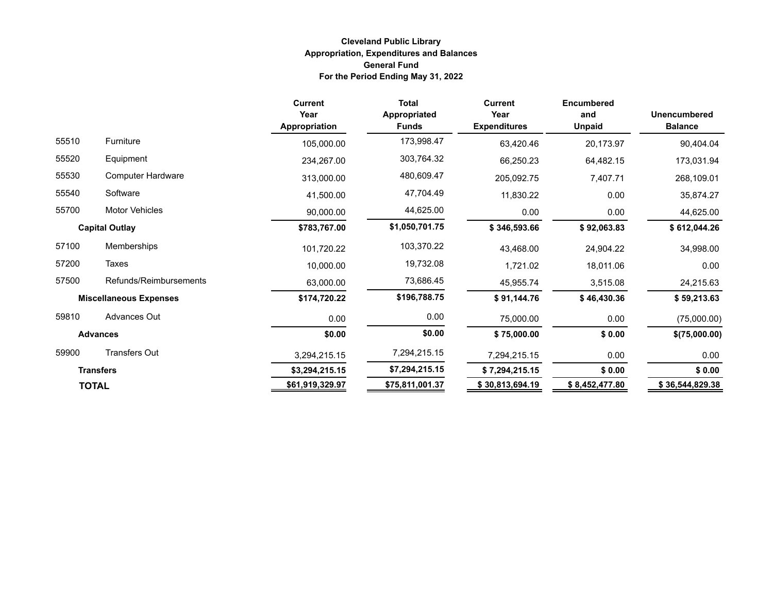|       |                               | <b>Current</b><br>Year<br>Appropriation | <b>Total</b><br><b>Appropriated</b><br><b>Funds</b> | <b>Current</b><br>Year<br><b>Expenditures</b> | <b>Encumbered</b><br>and<br><b>Unpaid</b> | <b>Unencumbered</b><br><b>Balance</b> |
|-------|-------------------------------|-----------------------------------------|-----------------------------------------------------|-----------------------------------------------|-------------------------------------------|---------------------------------------|
| 55510 | <b>Furniture</b>              | 105,000.00                              | 173,998.47                                          | 63,420.46                                     | 20,173.97                                 | 90,404.04                             |
| 55520 | Equipment                     | 234,267.00                              | 303,764.32                                          | 66,250.23                                     | 64,482.15                                 | 173,031.94                            |
| 55530 | <b>Computer Hardware</b>      | 313,000.00                              | 480,609.47                                          | 205,092.75                                    | 7,407.71                                  | 268,109.01                            |
| 55540 | Software                      | 41,500.00                               | 47,704.49                                           | 11,830.22                                     | 0.00                                      | 35,874.27                             |
| 55700 | Motor Vehicles                | 90,000.00                               | 44,625.00                                           | 0.00                                          | 0.00                                      | 44,625.00                             |
|       | <b>Capital Outlay</b>         | \$783,767.00                            | \$1,050,701.75                                      | \$346,593.66                                  | \$92,063.83                               | \$612,044.26                          |
| 57100 | Memberships                   | 101,720.22                              | 103,370.22                                          | 43,468.00                                     | 24,904.22                                 | 34,998.00                             |
| 57200 | Taxes                         | 10,000.00                               | 19,732.08                                           | 1,721.02                                      | 18,011.06                                 | 0.00                                  |
| 57500 | Refunds/Reimbursements        | 63,000.00                               | 73,686.45                                           | 45,955.74                                     | 3,515.08                                  | 24,215.63                             |
|       | <b>Miscellaneous Expenses</b> | \$174,720.22                            | \$196,788.75                                        | \$91,144.76                                   | \$46,430.36                               | \$59,213.63                           |
| 59810 | Advances Out                  | 0.00                                    | 0.00                                                | 75,000.00                                     | 0.00                                      | (75,000.00)                           |
|       | <b>Advances</b>               | \$0.00                                  | \$0.00                                              | \$75,000.00                                   | \$0.00                                    | \$(75,000.00)                         |
| 59900 | <b>Transfers Out</b>          | 3,294,215.15                            | 7,294,215.15                                        | 7,294,215.15                                  | 0.00                                      | 0.00                                  |
|       | <b>Transfers</b>              | \$3,294,215.15                          | \$7,294,215.15                                      | \$7,294,215.15                                | \$0.00                                    | \$0.00                                |
|       | <b>TOTAL</b>                  | \$61,919,329.97                         | \$75,811,001.37                                     | \$30,813,694.19                               | \$8,452,477.80                            | \$36,544,829.38                       |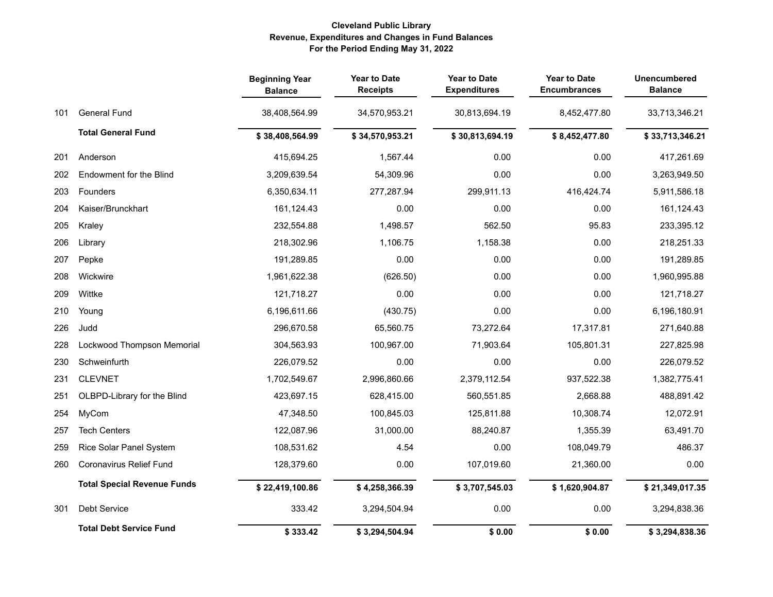### **Cleveland Public Library Revenue, Expenditures and Changes in Fund Balances For the Period Ending May 31, 2022**

|     |                                    | <b>Beginning Year</b><br><b>Balance</b> | <b>Year to Date</b><br><b>Receipts</b> | <b>Year to Date</b><br><b>Expenditures</b> | <b>Year to Date</b><br><b>Encumbrances</b> | <b>Unencumbered</b><br><b>Balance</b> |
|-----|------------------------------------|-----------------------------------------|----------------------------------------|--------------------------------------------|--------------------------------------------|---------------------------------------|
| 101 | <b>General Fund</b>                | 38,408,564.99                           | 34,570,953.21                          | 30,813,694.19                              | 8,452,477.80                               | 33,713,346.21                         |
|     | <b>Total General Fund</b>          | \$38,408,564.99                         | \$34,570,953.21                        | \$30,813,694.19                            | \$8,452,477.80                             | \$33,713,346.21                       |
| 201 | Anderson                           | 415,694.25                              | 1,567.44                               | 0.00                                       | 0.00                                       | 417,261.69                            |
| 202 | Endowment for the Blind            | 3,209,639.54                            | 54,309.96                              | 0.00                                       | 0.00                                       | 3,263,949.50                          |
| 203 | Founders                           | 6,350,634.11                            | 277,287.94                             | 299,911.13                                 | 416,424.74                                 | 5,911,586.18                          |
| 204 | Kaiser/Brunckhart                  | 161,124.43                              | 0.00                                   | 0.00                                       | 0.00                                       | 161,124.43                            |
| 205 | Kraley                             | 232,554.88                              | 1,498.57                               | 562.50                                     | 95.83                                      | 233,395.12                            |
| 206 | Library                            | 218,302.96                              | 1,106.75                               | 1,158.38                                   | 0.00                                       | 218,251.33                            |
| 207 | Pepke                              | 191,289.85                              | 0.00                                   | 0.00                                       | 0.00                                       | 191,289.85                            |
| 208 | Wickwire                           | 1,961,622.38                            | (626.50)                               | 0.00                                       | 0.00                                       | 1,960,995.88                          |
| 209 | Wittke                             | 121,718.27                              | 0.00                                   | 0.00                                       | 0.00                                       | 121,718.27                            |
| 210 | Young                              | 6,196,611.66                            | (430.75)                               | 0.00                                       | 0.00                                       | 6,196,180.91                          |
| 226 | Judd                               | 296,670.58                              | 65,560.75                              | 73,272.64                                  | 17,317.81                                  | 271,640.88                            |
| 228 | Lockwood Thompson Memorial         | 304,563.93                              | 100,967.00                             | 71,903.64                                  | 105,801.31                                 | 227,825.98                            |
| 230 | Schweinfurth                       | 226,079.52                              | 0.00                                   | 0.00                                       | 0.00                                       | 226,079.52                            |
| 231 | <b>CLEVNET</b>                     | 1,702,549.67                            | 2,996,860.66                           | 2,379,112.54                               | 937,522.38                                 | 1,382,775.41                          |
| 251 | OLBPD-Library for the Blind        | 423,697.15                              | 628,415.00                             | 560,551.85                                 | 2,668.88                                   | 488,891.42                            |
| 254 | MyCom                              | 47,348.50                               | 100,845.03                             | 125,811.88                                 | 10,308.74                                  | 12,072.91                             |
| 257 | <b>Tech Centers</b>                | 122,087.96                              | 31,000.00                              | 88,240.87                                  | 1,355.39                                   | 63,491.70                             |
| 259 | Rice Solar Panel System            | 108,531.62                              | 4.54                                   | 0.00                                       | 108,049.79                                 | 486.37                                |
| 260 | Coronavirus Relief Fund            | 128,379.60                              | 0.00                                   | 107,019.60                                 | 21,360.00                                  | 0.00                                  |
|     | <b>Total Special Revenue Funds</b> | \$22,419,100.86                         | \$4,258,366.39                         | \$3,707,545.03                             | \$1,620,904.87                             | \$21,349,017.35                       |
| 301 | Debt Service                       | 333.42                                  | 3,294,504.94                           | 0.00                                       | 0.00                                       | 3,294,838.36                          |
|     | <b>Total Debt Service Fund</b>     | \$333.42                                | \$3,294,504.94                         | \$0.00                                     | \$0.00                                     | \$3,294,838.36                        |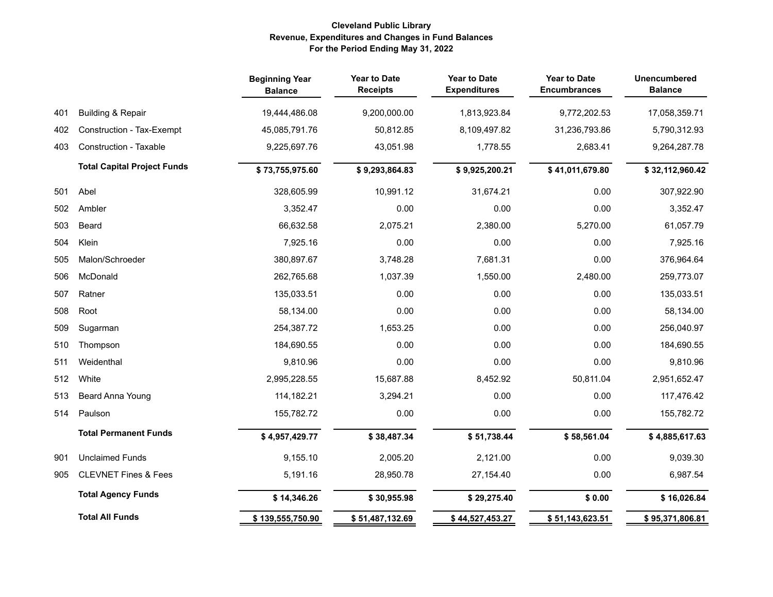### **Cleveland Public Library Revenue, Expenditures and Changes in Fund Balances For the Period Ending May 31, 2022**

|     |                                    | <b>Beginning Year</b><br><b>Balance</b> | <b>Year to Date</b><br><b>Receipts</b> | <b>Year to Date</b><br><b>Expenditures</b> | <b>Year to Date</b><br><b>Encumbrances</b> | <b>Unencumbered</b><br><b>Balance</b> |
|-----|------------------------------------|-----------------------------------------|----------------------------------------|--------------------------------------------|--------------------------------------------|---------------------------------------|
| 401 | <b>Building &amp; Repair</b>       | 19,444,486.08                           | 9,200,000.00                           | 1,813,923.84                               | 9,772,202.53                               | 17,058,359.71                         |
| 402 | Construction - Tax-Exempt          | 45,085,791.76                           | 50,812.85                              | 8,109,497.82                               | 31,236,793.86                              | 5,790,312.93                          |
| 403 | <b>Construction - Taxable</b>      | 9,225,697.76                            | 43,051.98                              | 1,778.55                                   | 2,683.41                                   | 9,264,287.78                          |
|     | <b>Total Capital Project Funds</b> | \$73,755,975.60                         | \$9,293,864.83                         | \$9,925,200.21                             | \$41,011,679.80                            | \$32,112,960.42                       |
| 501 | Abel                               | 328,605.99                              | 10,991.12                              | 31,674.21                                  | 0.00                                       | 307,922.90                            |
| 502 | Ambler                             | 3,352.47                                | 0.00                                   | 0.00                                       | 0.00                                       | 3,352.47                              |
| 503 | Beard                              | 66,632.58                               | 2,075.21                               | 2,380.00                                   | 5,270.00                                   | 61,057.79                             |
| 504 | Klein                              | 7,925.16                                | 0.00                                   | 0.00                                       | 0.00                                       | 7,925.16                              |
| 505 | Malon/Schroeder                    | 380,897.67                              | 3,748.28                               | 7,681.31                                   | 0.00                                       | 376,964.64                            |
| 506 | McDonald                           | 262,765.68                              | 1,037.39                               | 1,550.00                                   | 2,480.00                                   | 259,773.07                            |
| 507 | Ratner                             | 135,033.51                              | 0.00                                   | 0.00                                       | 0.00                                       | 135,033.51                            |
| 508 | Root                               | 58,134.00                               | 0.00                                   | 0.00                                       | 0.00                                       | 58,134.00                             |
| 509 | Sugarman                           | 254,387.72                              | 1,653.25                               | 0.00                                       | 0.00                                       | 256,040.97                            |
| 510 | Thompson                           | 184,690.55                              | 0.00                                   | 0.00                                       | 0.00                                       | 184,690.55                            |
| 511 | Weidenthal                         | 9,810.96                                | 0.00                                   | 0.00                                       | 0.00                                       | 9,810.96                              |
| 512 | White                              | 2,995,228.55                            | 15,687.88                              | 8,452.92                                   | 50,811.04                                  | 2,951,652.47                          |
| 513 | Beard Anna Young                   | 114,182.21                              | 3,294.21                               | 0.00                                       | 0.00                                       | 117,476.42                            |
| 514 | Paulson                            | 155,782.72                              | 0.00                                   | 0.00                                       | 0.00                                       | 155,782.72                            |
|     | <b>Total Permanent Funds</b>       | \$4,957,429.77                          | \$38,487.34                            | \$51,738.44                                | \$58,561.04                                | \$4,885,617.63                        |
| 901 | <b>Unclaimed Funds</b>             | 9,155.10                                | 2,005.20                               | 2,121.00                                   | 0.00                                       | 9,039.30                              |
| 905 | <b>CLEVNET Fines &amp; Fees</b>    | 5,191.16                                | 28,950.78                              | 27,154.40                                  | 0.00                                       | 6,987.54                              |
|     | <b>Total Agency Funds</b>          | \$14,346.26                             | \$30,955.98                            | \$29,275.40                                | \$0.00                                     | \$16,026.84                           |
|     | <b>Total All Funds</b>             | \$139,555,750.90                        | \$51,487,132.69                        | \$44,527,453.27                            | \$51,143,623.51                            | \$95,371,806.81                       |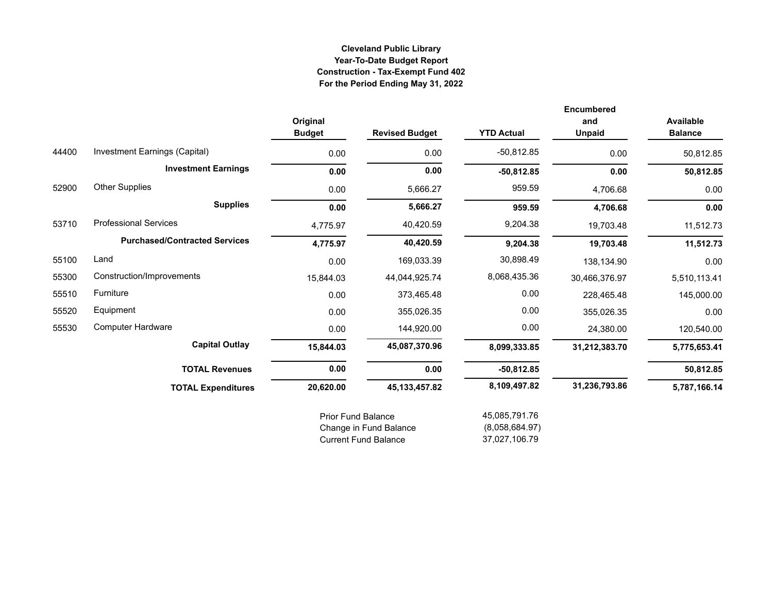# **Cleveland Public Library Year-To-Date Budget Report Construction - Tax-Exempt Fund 402 For the Period Ending May 31, 2022**

|       |                                      | Original<br><b>Budget</b> | <b>Revised Budget</b> | <b>YTD Actual</b> | <b>Encumbered</b><br>and<br><b>Unpaid</b> | <b>Available</b><br><b>Balance</b> |
|-------|--------------------------------------|---------------------------|-----------------------|-------------------|-------------------------------------------|------------------------------------|
| 44400 | Investment Earnings (Capital)        | 0.00                      | 0.00                  | $-50,812.85$      | 0.00                                      | 50,812.85                          |
|       | <b>Investment Earnings</b>           | 0.00                      | 0.00                  | $-50,812.85$      | 0.00                                      | 50,812.85                          |
| 52900 | <b>Other Supplies</b>                | 0.00                      | 5,666.27              | 959.59            | 4,706.68                                  | 0.00                               |
|       | <b>Supplies</b>                      | 0.00                      | 5,666.27              | 959.59            | 4,706.68                                  | 0.00                               |
| 53710 | <b>Professional Services</b>         | 4,775.97                  | 40,420.59             | 9,204.38          | 19,703.48                                 | 11,512.73                          |
|       | <b>Purchased/Contracted Services</b> | 4,775.97                  | 40,420.59             | 9,204.38          | 19,703.48                                 | 11,512.73                          |
| 55100 | Land                                 | 0.00                      | 169,033.39            | 30,898.49         | 138,134.90                                | 0.00                               |
| 55300 | Construction/Improvements            | 15,844.03                 | 44,044,925.74         | 8,068,435.36      | 30,466,376.97                             | 5,510,113.41                       |
| 55510 | Furniture                            | 0.00                      | 373,465.48            | 0.00              | 228,465.48                                | 145,000.00                         |
| 55520 | Equipment                            | 0.00                      | 355,026.35            | 0.00              | 355,026.35                                | 0.00                               |
| 55530 | <b>Computer Hardware</b>             | 0.00                      | 144,920.00            | 0.00              | 24,380.00                                 | 120,540.00                         |
|       | <b>Capital Outlay</b>                | 15,844.03                 | 45,087,370.96         | 8,099,333.85      | 31,212,383.70                             | 5,775,653.41                       |
|       | <b>TOTAL Revenues</b>                | 0.00                      | 0.00                  | $-50,812.85$      |                                           | 50,812.85                          |
|       | <b>TOTAL Expenditures</b>            | 20,620.00                 | 45, 133, 457.82       | 8,109,497.82      | 31,236,793.86                             | 5,787,166.14                       |
|       |                                      | <b>Prior Fund Balance</b> |                       | 45,085,791.76     |                                           |                                    |

| PHOL FUND Dalance           | 40,000,191.70  |
|-----------------------------|----------------|
| Change in Fund Balance      | (8,058,684.97) |
| <b>Current Fund Balance</b> | 37.027.106.79  |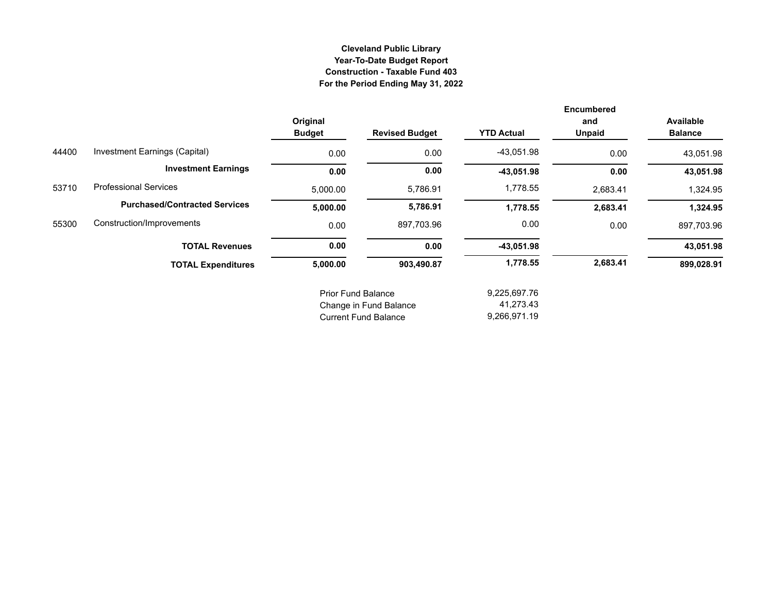## **Cleveland Public Library Year-To-Date Budget Report Construction - Taxable Fund 403 For the Period Ending May 31, 2022**

|       |                                      | Original<br><b>Budget</b> | <b>Revised Budget</b>       | <b>YTD Actual</b> | <b>Encumbered</b><br>and<br><b>Unpaid</b> | <b>Available</b><br><b>Balance</b> |
|-------|--------------------------------------|---------------------------|-----------------------------|-------------------|-------------------------------------------|------------------------------------|
| 44400 | Investment Earnings (Capital)        | 0.00                      | 0.00                        | $-43,051.98$      | 0.00                                      | 43,051.98                          |
|       | <b>Investment Earnings</b>           | 0.00                      | 0.00                        | $-43,051.98$      | 0.00                                      | 43,051.98                          |
| 53710 | <b>Professional Services</b>         | 5,000.00                  | 5,786.91                    | 1,778.55          | 2,683.41                                  | 1,324.95                           |
|       | <b>Purchased/Contracted Services</b> | 5,000.00                  | 5,786.91                    | 1,778.55          | 2,683.41                                  | 1,324.95                           |
| 55300 | Construction/Improvements            | 0.00                      | 897,703.96                  | 0.00              | 0.00                                      | 897,703.96                         |
|       | <b>TOTAL Revenues</b>                | 0.00                      | 0.00                        | $-43,051.98$      |                                           | 43,051.98                          |
|       | <b>TOTAL Expenditures</b>            | 5,000.00                  | 903,490.87                  | 1,778.55          | 2,683.41                                  | 899,028.91                         |
|       |                                      | <b>Prior Fund Balance</b> |                             | 9,225,697.76      |                                           |                                    |
|       |                                      |                           | Change in Fund Balance      | 41,273.43         |                                           |                                    |
|       |                                      |                           | <b>Current Fund Balance</b> | 9,266,971.19      |                                           |                                    |